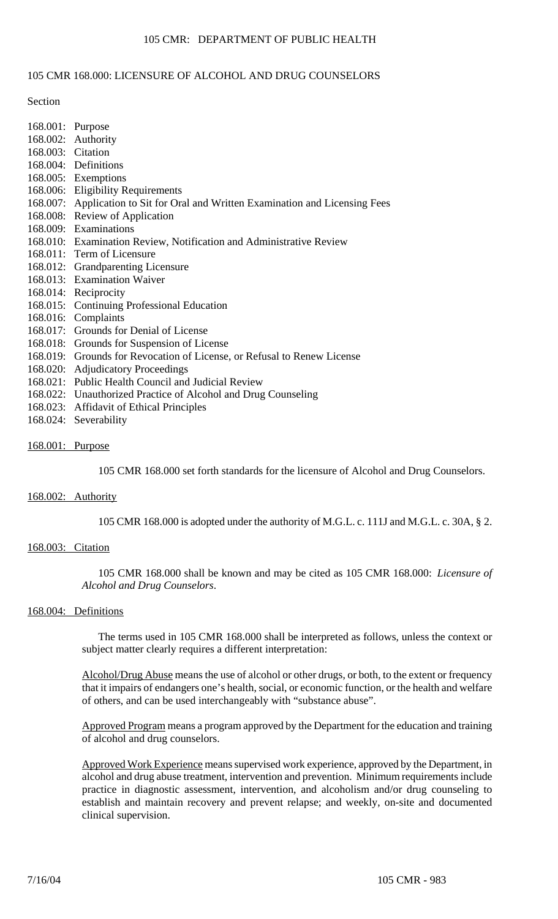# 105 CMR: DEPARTMENT OF PUBLIC HEALTH

## 105 CMR 168.000: LICENSURE OF ALCOHOL AND DRUG COUNSELORS

#### Section

168.001: Purpose 168.002: Authority 168.003: Citation 168.004: Definitions 168.005: Exemptions 168.006: Eligibility Requirements 168.007: Application to Sit for Oral and Written Examination and Licensing Fees 168.008: Review of Application 168.009: Examinations 168.010: Examination Review, Notification and Administrative Review 168.011: Term of Licensure 168.012: Grandparenting Licensure 168.013: Examination Waiver 168.014: Reciprocity 168.015: Continuing Professional Education 168.016: Complaints 168.017: Grounds for Denial of License 168.018: Grounds for Suspension of License 168.019: Grounds for Revocation of License, or Refusal to Renew License 168.020: Adjudicatory Proceedings 168.021: Public Health Council and Judicial Review 168.022: Unauthorized Practice of Alcohol and Drug Counseling 168.023: Affidavit of Ethical Principles 168.024: Severability

## 168.001: Purpose

105 CMR 168.000 set forth standards for the licensure of Alcohol and Drug Counselors.

## 168.002: Authority

105 CMR 168.000 is adopted under the authority of M.G.L. c. 111J and M.G.L. c. 30A, § 2.

## 168.003: Citation

105 CMR 168.000 shall be known and may be cited as 105 CMR 168.000: *Licensure of Alcohol and Drug Counselors*.

# 168.004: Definitions

The terms used in 105 CMR 168.000 shall be interpreted as follows, unless the context or subject matter clearly requires a different interpretation:

Alcohol/Drug Abuse means the use of alcohol or other drugs, or both, to the extent or frequency that it impairs of endangers one's health, social, or economic function, or the health and welfare of others, and can be used interchangeably with "substance abuse".

Approved Program means a program approved by the Department for the education and training of alcohol and drug counselors.

Approved Work Experience means supervised work experience, approved by the Department, in alcohol and drug abuse treatment, intervention and prevention. Minimum requirements include practice in diagnostic assessment, intervention, and alcoholism and/or drug counseling to establish and maintain recovery and prevent relapse; and weekly, on-site and documented clinical supervision.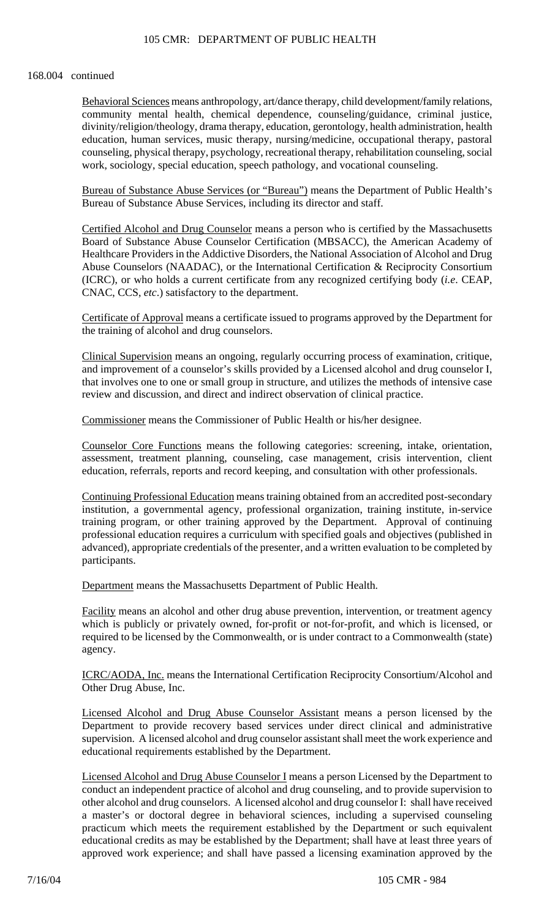#### 168.004 continued

Behavioral Sciences means anthropology, art/dance therapy, child development/family relations, community mental health, chemical dependence, counseling/guidance, criminal justice, divinity/religion/theology, drama therapy, education, gerontology, health administration, health education, human services, music therapy, nursing/medicine, occupational therapy, pastoral counseling, physical therapy, psychology, recreational therapy, rehabilitation counseling, social work, sociology, special education, speech pathology, and vocational counseling.

Bureau of Substance Abuse Services (or "Bureau") means the Department of Public Health's Bureau of Substance Abuse Services, including its director and staff.

Certified Alcohol and Drug Counselor means a person who is certified by the Massachusetts Board of Substance Abuse Counselor Certification (MBSACC), the American Academy of Healthcare Providers in the Addictive Disorders, the National Association of Alcohol and Drug Abuse Counselors (NAADAC), or the International Certification & Reciprocity Consortium (ICRC), or who holds a current certificate from any recognized certifying body (*i.e*. CEAP, CNAC, CCS, *etc*.) satisfactory to the department.

Certificate of Approval means a certificate issued to programs approved by the Department for the training of alcohol and drug counselors.

Clinical Supervision means an ongoing, regularly occurring process of examination, critique, and improvement of a counselor's skills provided by a Licensed alcohol and drug counselor I, that involves one to one or small group in structure, and utilizes the methods of intensive case review and discussion, and direct and indirect observation of clinical practice.

Commissioner means the Commissioner of Public Health or his/her designee.

Counselor Core Functions means the following categories: screening, intake, orientation, assessment, treatment planning, counseling, case management, crisis intervention, client education, referrals, reports and record keeping, and consultation with other professionals.

Continuing Professional Education means training obtained from an accredited post-secondary institution, a governmental agency, professional organization, training institute, in-service training program, or other training approved by the Department. Approval of continuing professional education requires a curriculum with specified goals and objectives (published in advanced), appropriate credentials of the presenter, and a written evaluation to be completed by participants.

Department means the Massachusetts Department of Public Health.

Facility means an alcohol and other drug abuse prevention, intervention, or treatment agency which is publicly or privately owned, for-profit or not-for-profit, and which is licensed, or required to be licensed by the Commonwealth, or is under contract to a Commonwealth (state) agency.

ICRC/AODA, Inc. means the International Certification Reciprocity Consortium/Alcohol and Other Drug Abuse, Inc.

Licensed Alcohol and Drug Abuse Counselor Assistant means a person licensed by the Department to provide recovery based services under direct clinical and administrative supervision. A licensed alcohol and drug counselor assistant shall meet the work experience and educational requirements established by the Department.

Licensed Alcohol and Drug Abuse Counselor I means a person Licensed by the Department to conduct an independent practice of alcohol and drug counseling, and to provide supervision to other alcohol and drug counselors. A licensed alcohol and drug counselor I: shall have received a master's or doctoral degree in behavioral sciences, including a supervised counseling practicum which meets the requirement established by the Department or such equivalent educational credits as may be established by the Department; shall have at least three years of approved work experience; and shall have passed a licensing examination approved by the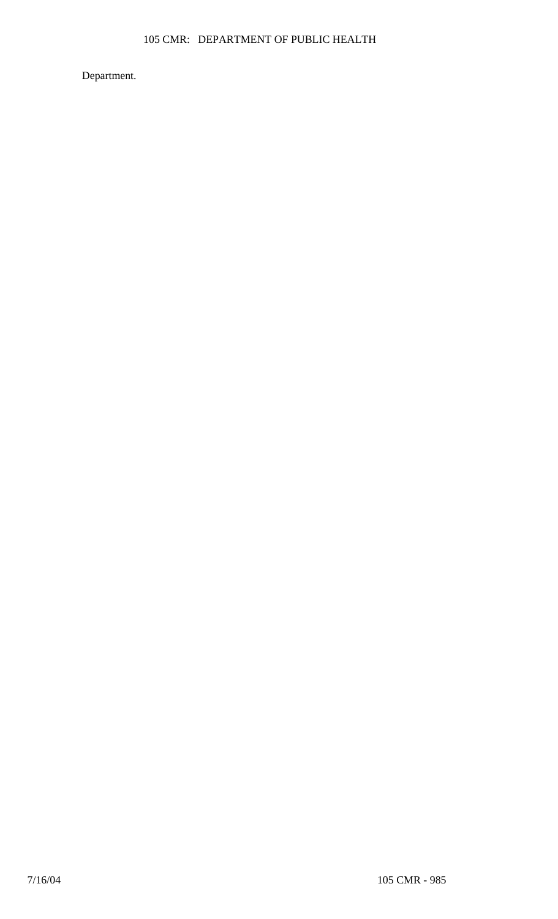Department.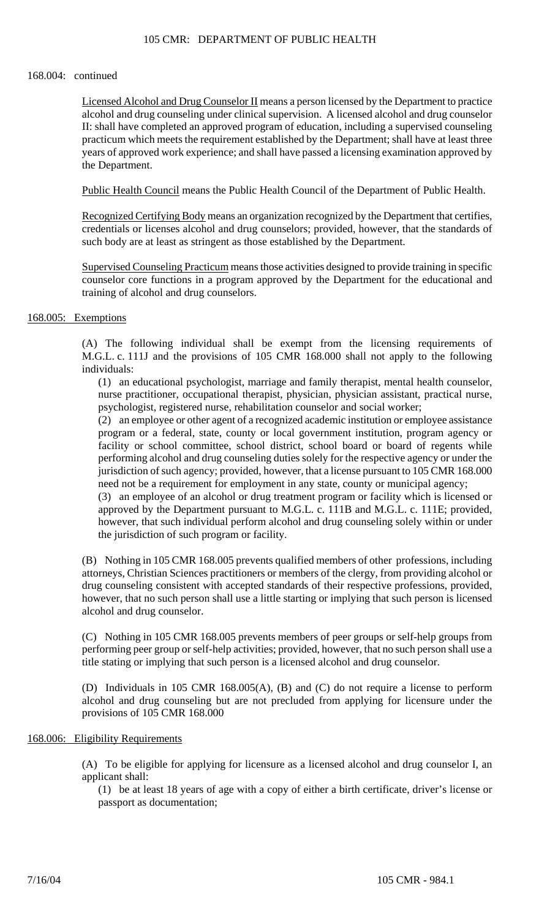## 105 CMR: DEPARTMENT OF PUBLIC HEALTH

## 168.004: continued

Licensed Alcohol and Drug Counselor II means a person licensed by the Department to practice alcohol and drug counseling under clinical supervision. A licensed alcohol and drug counselor II: shall have completed an approved program of education, including a supervised counseling practicum which meets the requirement established by the Department; shall have at least three years of approved work experience; and shall have passed a licensing examination approved by the Department.

Public Health Council means the Public Health Council of the Department of Public Health.

Recognized Certifying Body means an organization recognized by the Department that certifies, credentials or licenses alcohol and drug counselors; provided, however, that the standards of such body are at least as stringent as those established by the Department.

Supervised Counseling Practicum means those activities designed to provide training in specific counselor core functions in a program approved by the Department for the educational and training of alcohol and drug counselors.

# 168.005: Exemptions

(A) The following individual shall be exempt from the licensing requirements of M.G.L. c. 111J and the provisions of 105 CMR 168.000 shall not apply to the following individuals:

(1) an educational psychologist, marriage and family therapist, mental health counselor, nurse practitioner, occupational therapist, physician, physician assistant, practical nurse, psychologist, registered nurse, rehabilitation counselor and social worker;

(2) an employee or other agent of a recognized academic institution or employee assistance program or a federal, state, county or local government institution, program agency or facility or school committee, school district, school board or board of regents while performing alcohol and drug counseling duties solely for the respective agency or under the jurisdiction of such agency; provided, however, that a license pursuant to 105 CMR 168.000 need not be a requirement for employment in any state, county or municipal agency;

(3) an employee of an alcohol or drug treatment program or facility which is licensed or approved by the Department pursuant to M.G.L. c. 111B and M.G.L. c. 111E; provided, however, that such individual perform alcohol and drug counseling solely within or under the jurisdiction of such program or facility.

(B) Nothing in 105 CMR 168.005 prevents qualified members of other professions, including attorneys, Christian Sciences practitioners or members of the clergy, from providing alcohol or drug counseling consistent with accepted standards of their respective professions, provided, however, that no such person shall use a little starting or implying that such person is licensed alcohol and drug counselor.

(C) Nothing in 105 CMR 168.005 prevents members of peer groups or self-help groups from performing peer group or self-help activities; provided, however, that no such person shall use a title stating or implying that such person is a licensed alcohol and drug counselor.

(D) Individuals in 105 CMR 168.005(A), (B) and (C) do not require a license to perform alcohol and drug counseling but are not precluded from applying for licensure under the provisions of 105 CMR 168.000

## 168.006: Eligibility Requirements

(A) To be eligible for applying for licensure as a licensed alcohol and drug counselor I, an applicant shall:

(1) be at least 18 years of age with a copy of either a birth certificate, driver's license or passport as documentation;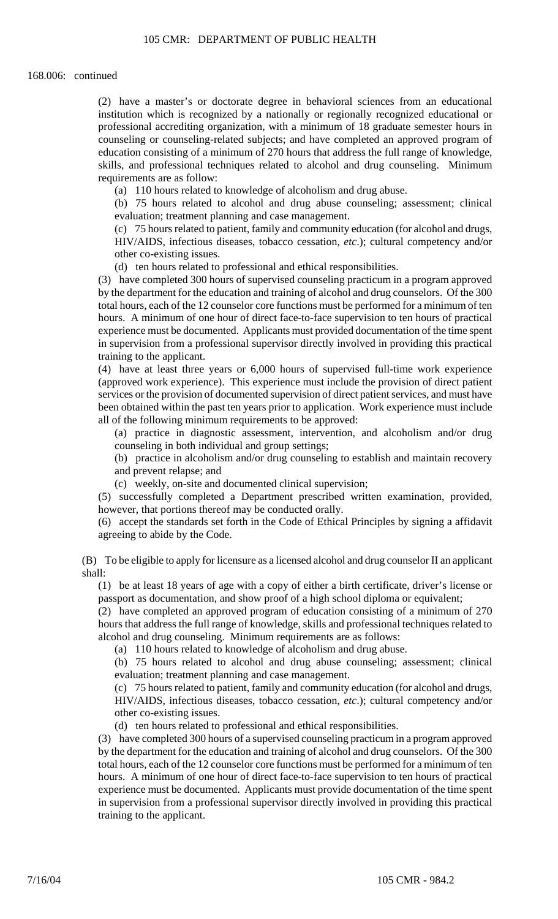(2) have a master's or doctorate degree in behavioral sciences from an educational institution which is recognized by a nationally or regionally recognized educational or professional accrediting organization, with a minimum of 18 graduate semester hours in counseling or counseling-related subjects; and have completed an approved program of education consisting of a minimum of 270 hours that address the full range of knowledge, skills, and professional techniques related to alcohol and drug counseling. Minimum requirements are as follow:

(a) 110 hours related to knowledge of alcoholism and drug abuse.

(b) 75 hours related to alcohol and drug abuse counseling; assessment; clinical evaluation; treatment planning and case management.

(c) 75 hours related to patient, family and community education (for alcohol and drugs, HIV/AIDS, infectious diseases, tobacco cessation, *etc*.); cultural competency and/or other co-existing issues.

(d) ten hours related to professional and ethical responsibilities.

(3) have completed 300 hours of supervised counseling practicum in a program approved by the department for the education and training of alcohol and drug counselors. Of the 300 total hours, each of the 12 counselor core functions must be performed for a minimum of ten hours. A minimum of one hour of direct face-to-face supervision to ten hours of practical experience must be documented. Applicants must provided documentation of the time spent in supervision from a professional supervisor directly involved in providing this practical training to the applicant.

(4) have at least three years or 6,000 hours of supervised full-time work experience (approved work experience). This experience must include the provision of direct patient services or the provision of documented supervision of direct patient services, and must have been obtained within the past ten years prior to application. Work experience must include all of the following minimum requirements to be approved:

(a) practice in diagnostic assessment, intervention, and alcoholism and/or drug counseling in both individual and group settings;

(b) practice in alcoholism and/or drug counseling to establish and maintain recovery and prevent relapse; and

(c) weekly, on-site and documented clinical supervision;

(5) successfully completed a Department prescribed written examination, provided, however, that portions thereof may be conducted orally.

(6) accept the standards set forth in the Code of Ethical Principles by signing a affidavit agreeing to abide by the Code.

(B) To be eligible to apply for licensure as a licensed alcohol and drug counselor II an applicant shall:

(1) be at least 18 years of age with a copy of either a birth certificate, driver's license or passport as documentation, and show proof of a high school diploma or equivalent;

(2) have completed an approved program of education consisting of a minimum of 270 hours that address the full range of knowledge, skills and professional techniques related to alcohol and drug counseling. Minimum requirements are as follows:

(a) 110 hours related to knowledge of alcoholism and drug abuse.

(b) 75 hours related to alcohol and drug abuse counseling; assessment; clinical evaluation; treatment planning and case management.

(c) 75 hours related to patient, family and community education (for alcohol and drugs, HIV/AIDS, infectious diseases, tobacco cessation, *etc*.); cultural competency and/or other co-existing issues.

(d) ten hours related to professional and ethical responsibilities.

(3) have completed 300 hours of a supervised counseling practicum in a program approved by the department for the education and training of alcohol and drug counselors. Of the 300 total hours, each of the 12 counselor core functions must be performed for a minimum of ten hours. A minimum of one hour of direct face-to-face supervision to ten hours of practical experience must be documented. Applicants must provide documentation of the time spent in supervision from a professional supervisor directly involved in providing this practical training to the applicant.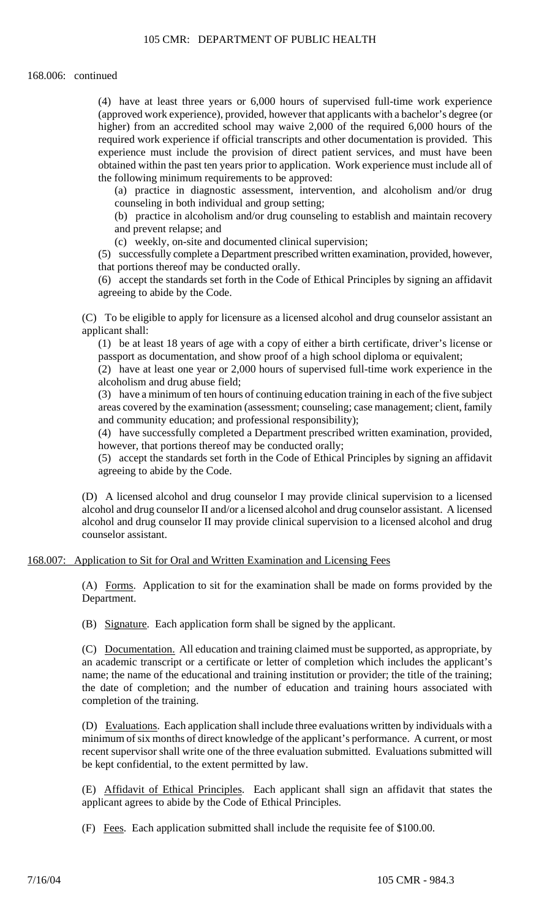(4) have at least three years or 6,000 hours of supervised full-time work experience (approved work experience), provided, however that applicants with a bachelor's degree (or higher) from an accredited school may waive 2,000 of the required 6,000 hours of the required work experience if official transcripts and other documentation is provided. This experience must include the provision of direct patient services, and must have been obtained within the past ten years prior to application. Work experience must include all of the following minimum requirements to be approved:

(a) practice in diagnostic assessment, intervention, and alcoholism and/or drug counseling in both individual and group setting;

(b) practice in alcoholism and/or drug counseling to establish and maintain recovery and prevent relapse; and

(c) weekly, on-site and documented clinical supervision;

(5) successfully complete a Department prescribed written examination, provided, however, that portions thereof may be conducted orally.

(6) accept the standards set forth in the Code of Ethical Principles by signing an affidavit agreeing to abide by the Code.

(C) To be eligible to apply for licensure as a licensed alcohol and drug counselor assistant an applicant shall:

(1) be at least 18 years of age with a copy of either a birth certificate, driver's license or passport as documentation, and show proof of a high school diploma or equivalent;

(2) have at least one year or 2,000 hours of supervised full-time work experience in the alcoholism and drug abuse field;

(3) have a minimum of ten hours of continuing education training in each of the five subject areas covered by the examination (assessment; counseling; case management; client, family and community education; and professional responsibility);

(4) have successfully completed a Department prescribed written examination, provided, however, that portions thereof may be conducted orally;

(5) accept the standards set forth in the Code of Ethical Principles by signing an affidavit agreeing to abide by the Code.

(D) A licensed alcohol and drug counselor I may provide clinical supervision to a licensed alcohol and drug counselor II and/or a licensed alcohol and drug counselor assistant. A licensed alcohol and drug counselor II may provide clinical supervision to a licensed alcohol and drug counselor assistant.

## 168.007: Application to Sit for Oral and Written Examination and Licensing Fees

(A) Forms. Application to sit for the examination shall be made on forms provided by the Department.

(B) Signature. Each application form shall be signed by the applicant.

(C) Documentation. All education and training claimed must be supported, as appropriate, by an academic transcript or a certificate or letter of completion which includes the applicant's name; the name of the educational and training institution or provider; the title of the training; the date of completion; and the number of education and training hours associated with completion of the training.

(D) Evaluations. Each application shall include three evaluations written by individuals with a minimum of six months of direct knowledge of the applicant's performance. A current, or most recent supervisor shall write one of the three evaluation submitted. Evaluations submitted will be kept confidential, to the extent permitted by law.

(E) Affidavit of Ethical Principles. Each applicant shall sign an affidavit that states the applicant agrees to abide by the Code of Ethical Principles.

(F) Fees. Each application submitted shall include the requisite fee of \$100.00.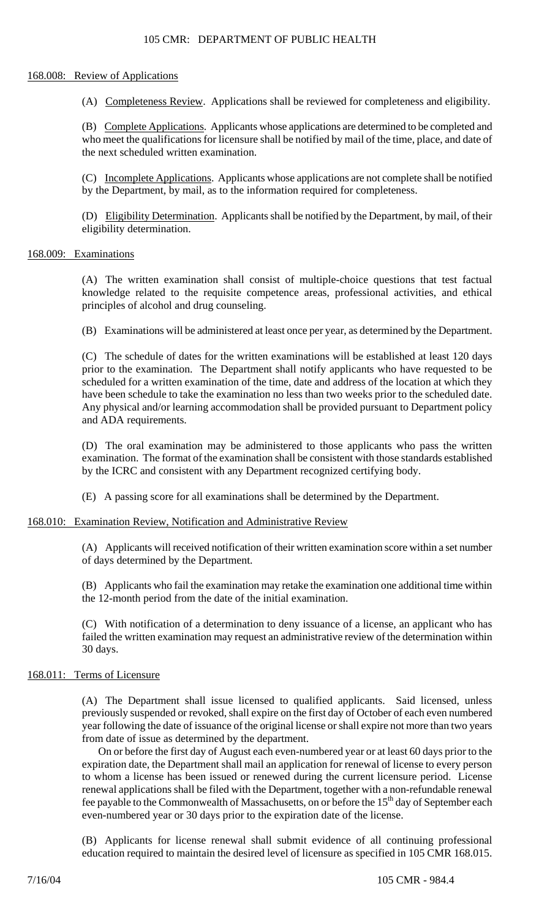# 105 CMR: DEPARTMENT OF PUBLIC HEALTH

## 168.008: Review of Applications

(A) Completeness Review. Applications shall be reviewed for completeness and eligibility.

(B) Complete Applications. Applicants whose applications are determined to be completed and who meet the qualifications for licensure shall be notified by mail of the time, place, and date of the next scheduled written examination.

(C) Incomplete Applications. Applicants whose applications are not complete shall be notified by the Department, by mail, as to the information required for completeness.

(D) Eligibility Determination. Applicants shall be notified by the Department, by mail, of their eligibility determination.

# 168.009: Examinations

(A) The written examination shall consist of multiple-choice questions that test factual knowledge related to the requisite competence areas, professional activities, and ethical principles of alcohol and drug counseling.

(B) Examinations will be administered at least once per year, as determined by the Department.

(C) The schedule of dates for the written examinations will be established at least 120 days prior to the examination. The Department shall notify applicants who have requested to be scheduled for a written examination of the time, date and address of the location at which they have been schedule to take the examination no less than two weeks prior to the scheduled date. Any physical and/or learning accommodation shall be provided pursuant to Department policy and ADA requirements.

(D) The oral examination may be administered to those applicants who pass the written examination. The format of the examination shall be consistent with those standards established by the ICRC and consistent with any Department recognized certifying body.

(E) A passing score for all examinations shall be determined by the Department.

## 168.010: Examination Review, Notification and Administrative Review

(A) Applicants will received notification of their written examination score within a set number of days determined by the Department.

(B) Applicants who fail the examination may retake the examination one additional time within the 12-month period from the date of the initial examination.

(C) With notification of a determination to deny issuance of a license, an applicant who has failed the written examination may request an administrative review of the determination within 30 days.

## 168.011: Terms of Licensure

(A) The Department shall issue licensed to qualified applicants. Said licensed, unless previously suspended or revoked, shall expire on the first day of October of each even numbered year following the date of issuance of the original license or shall expire not more than two years from date of issue as determined by the department.

On or before the first day of August each even-numbered year or at least 60 days prior to the expiration date, the Department shall mail an application for renewal of license to every person to whom a license has been issued or renewed during the current licensure period. License renewal applications shall be filed with the Department, together with a non-refundable renewal fee payable to the Commonwealth of Massachusetts, on or before the 15<sup>th</sup> day of September each even-numbered year or 30 days prior to the expiration date of the license.

(B) Applicants for license renewal shall submit evidence of all continuing professional education required to maintain the desired level of licensure as specified in 105 CMR 168.015.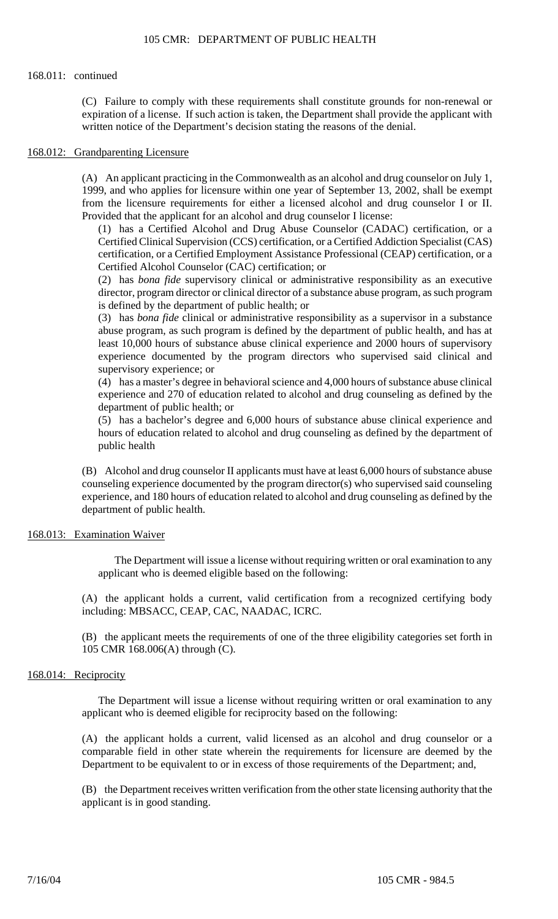#### 168.011: continued

(C) Failure to comply with these requirements shall constitute grounds for non-renewal or expiration of a license. If such action is taken, the Department shall provide the applicant with written notice of the Department's decision stating the reasons of the denial.

## 168.012: Grandparenting Licensure

(A) An applicant practicing in the Commonwealth as an alcohol and drug counselor on July 1, 1999, and who applies for licensure within one year of September 13, 2002, shall be exempt from the licensure requirements for either a licensed alcohol and drug counselor I or II. Provided that the applicant for an alcohol and drug counselor I license:

(1) has a Certified Alcohol and Drug Abuse Counselor (CADAC) certification, or a Certified Clinical Supervision (CCS) certification, or a Certified Addiction Specialist (CAS) certification, or a Certified Employment Assistance Professional (CEAP) certification, or a Certified Alcohol Counselor (CAC) certification; or

(2) has *bona fide* supervisory clinical or administrative responsibility as an executive director, program director or clinical director of a substance abuse program, as such program is defined by the department of public health; or

(3) has *bona fide* clinical or administrative responsibility as a supervisor in a substance abuse program, as such program is defined by the department of public health, and has at least 10,000 hours of substance abuse clinical experience and 2000 hours of supervisory experience documented by the program directors who supervised said clinical and supervisory experience; or

(4) has a master's degree in behavioral science and 4,000 hours of substance abuse clinical experience and 270 of education related to alcohol and drug counseling as defined by the department of public health; or

(5) has a bachelor's degree and 6,000 hours of substance abuse clinical experience and hours of education related to alcohol and drug counseling as defined by the department of public health

(B) Alcohol and drug counselor II applicants must have at least 6,000 hours of substance abuse counseling experience documented by the program director(s) who supervised said counseling experience, and 180 hours of education related to alcohol and drug counseling as defined by the department of public health.

## 168.013: Examination Waiver

The Department will issue a license without requiring written or oral examination to any applicant who is deemed eligible based on the following:

(A) the applicant holds a current, valid certification from a recognized certifying body including: MBSACC, CEAP, CAC, NAADAC, ICRC.

(B) the applicant meets the requirements of one of the three eligibility categories set forth in 105 CMR 168.006(A) through (C).

# 168.014: Reciprocity

The Department will issue a license without requiring written or oral examination to any applicant who is deemed eligible for reciprocity based on the following:

(A) the applicant holds a current, valid licensed as an alcohol and drug counselor or a comparable field in other state wherein the requirements for licensure are deemed by the Department to be equivalent to or in excess of those requirements of the Department; and,

(B) the Department receives written verification from the other state licensing authority that the applicant is in good standing.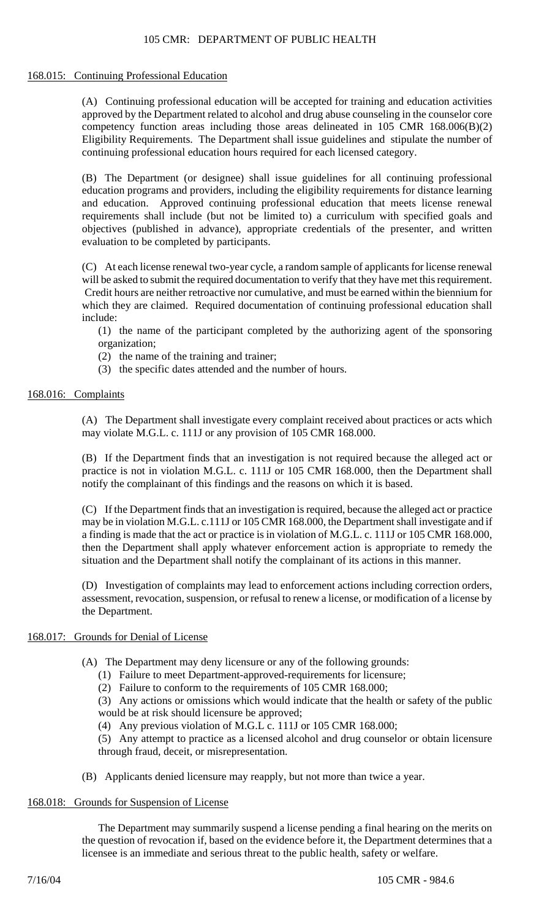# 168.015: Continuing Professional Education

(A) Continuing professional education will be accepted for training and education activities approved by the Department related to alcohol and drug abuse counseling in the counselor core competency function areas including those areas delineated in 105 CMR 168.006(B)(2) Eligibility Requirements. The Department shall issue guidelines and stipulate the number of continuing professional education hours required for each licensed category.

(B) The Department (or designee) shall issue guidelines for all continuing professional education programs and providers, including the eligibility requirements for distance learning and education. Approved continuing professional education that meets license renewal requirements shall include (but not be limited to) a curriculum with specified goals and objectives (published in advance), appropriate credentials of the presenter, and written evaluation to be completed by participants.

(C) At each license renewal two-year cycle, a random sample of applicants for license renewal will be asked to submit the required documentation to verify that they have met this requirement. Credit hours are neither retroactive nor cumulative, and must be earned within the biennium for which they are claimed. Required documentation of continuing professional education shall include:

(1) the name of the participant completed by the authorizing agent of the sponsoring organization;

- (2) the name of the training and trainer;
- (3) the specific dates attended and the number of hours.

# 168.016: Complaints

(A) The Department shall investigate every complaint received about practices or acts which may violate M.G.L. c. 111J or any provision of 105 CMR 168.000.

(B) If the Department finds that an investigation is not required because the alleged act or practice is not in violation M.G.L. c. 111J or 105 CMR 168.000, then the Department shall notify the complainant of this findings and the reasons on which it is based.

(C) If the Department finds that an investigation is required, because the alleged act or practice may be in violation M.G.L. c.111J or 105 CMR 168.000, the Department shall investigate and if a finding is made that the act or practice is in violation of M.G.L. c. 111J or 105 CMR 168.000, then the Department shall apply whatever enforcement action is appropriate to remedy the situation and the Department shall notify the complainant of its actions in this manner.

(D) Investigation of complaints may lead to enforcement actions including correction orders, assessment, revocation, suspension, or refusal to renew a license, or modification of a license by the Department.

## 168.017: Grounds for Denial of License

- (A) The Department may deny licensure or any of the following grounds:
	- (1) Failure to meet Department-approved-requirements for licensure;
	- (2) Failure to conform to the requirements of 105 CMR 168.000;

(3) Any actions or omissions which would indicate that the health or safety of the public would be at risk should licensure be approved;

(4) Any previous violation of M.G.L c. 111J or 105 CMR 168.000;

(5) Any attempt to practice as a licensed alcohol and drug counselor or obtain licensure through fraud, deceit, or misrepresentation.

(B) Applicants denied licensure may reapply, but not more than twice a year.

## 168.018: Grounds for Suspension of License

The Department may summarily suspend a license pending a final hearing on the merits on the question of revocation if, based on the evidence before it, the Department determines that a licensee is an immediate and serious threat to the public health, safety or welfare.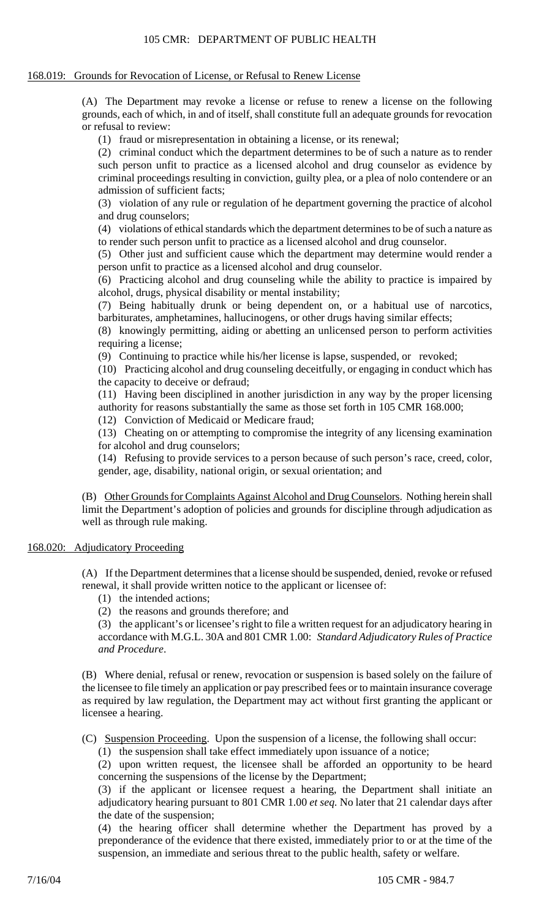# 168.019: Grounds for Revocation of License, or Refusal to Renew License

(A) The Department may revoke a license or refuse to renew a license on the following grounds, each of which, in and of itself, shall constitute full an adequate grounds for revocation or refusal to review:

(1) fraud or misrepresentation in obtaining a license, or its renewal;

(2) criminal conduct which the department determines to be of such a nature as to render such person unfit to practice as a licensed alcohol and drug counselor as evidence by criminal proceedings resulting in conviction, guilty plea, or a plea of nolo contendere or an admission of sufficient facts;

(3) violation of any rule or regulation of he department governing the practice of alcohol and drug counselors;

(4) violations of ethical standards which the department determines to be of such a nature as to render such person unfit to practice as a licensed alcohol and drug counselor.

(5) Other just and sufficient cause which the department may determine would render a person unfit to practice as a licensed alcohol and drug counselor.

(6) Practicing alcohol and drug counseling while the ability to practice is impaired by alcohol, drugs, physical disability or mental instability;

(7) Being habitually drunk or being dependent on, or a habitual use of narcotics, barbiturates, amphetamines, hallucinogens, or other drugs having similar effects;

(8) knowingly permitting, aiding or abetting an unlicensed person to perform activities requiring a license;

(9) Continuing to practice while his/her license is lapse, suspended, or revoked;

(10) Practicing alcohol and drug counseling deceitfully, or engaging in conduct which has the capacity to deceive or defraud;

(11) Having been disciplined in another jurisdiction in any way by the proper licensing authority for reasons substantially the same as those set forth in 105 CMR 168.000;

(12) Conviction of Medicaid or Medicare fraud;

(13) Cheating on or attempting to compromise the integrity of any licensing examination for alcohol and drug counselors;

(14) Refusing to provide services to a person because of such person's race, creed, color, gender, age, disability, national origin, or sexual orientation; and

(B) Other Grounds for Complaints Against Alcohol and Drug Counselors. Nothing herein shall limit the Department's adoption of policies and grounds for discipline through adjudication as well as through rule making.

# 168.020: Adjudicatory Proceeding

(A) If the Department determines that a license should be suspended, denied, revoke or refused renewal, it shall provide written notice to the applicant or licensee of:

(1) the intended actions;

(2) the reasons and grounds therefore; and

(3) the applicant's or licensee's right to file a written request for an adjudicatory hearing in accordance with M.G.L. 30A and 801 CMR 1.00: *Standard Adjudicatory Rules of Practice and Procedure*.

(B) Where denial, refusal or renew, revocation or suspension is based solely on the failure of the licensee to file timely an application or pay prescribed fees or to maintain insurance coverage as required by law regulation, the Department may act without first granting the applicant or licensee a hearing.

(C) Suspension Proceeding. Upon the suspension of a license, the following shall occur:

(1) the suspension shall take effect immediately upon issuance of a notice;

(2) upon written request, the licensee shall be afforded an opportunity to be heard concerning the suspensions of the license by the Department;

(3) if the applicant or licensee request a hearing, the Department shall initiate an adjudicatory hearing pursuant to 801 CMR 1.00 *et seq.* No later that 21 calendar days after the date of the suspension;

(4) the hearing officer shall determine whether the Department has proved by a preponderance of the evidence that there existed, immediately prior to or at the time of the suspension, an immediate and serious threat to the public health, safety or welfare.